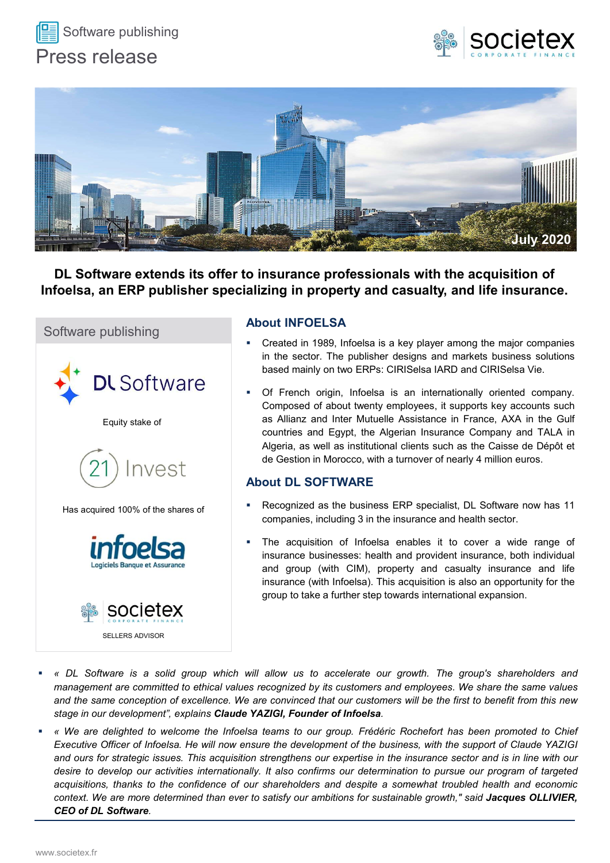





DL Software extends its offer to insurance professionals with the acquisition of Infoelsa, an ERP publisher specializing in property and casualty, and life insurance.



## About INFOELSA

- 
- **Example 19 million in Morocco, with the acquisition of**<br> **Example 19 million in Property and casualty, and life insurance.**<br>
Out INFOELSA<br>
Created in 1989, Infoelsa is a key player among the major companies<br>
in the sector A strategy of a bottom (The Algerian Insurance company and TALC and Sulty 2020)<br>
About INFOELSA<br>
Created in 1989, Infoelsa is a key player among the major companies<br>
in the sector. The publisher designs and markets busines **EXECTS AS THE CONSTREM CONSTREM CONSTREM CONSTRET CONSTRENT CONSTRET CONSTRENT CONSTRET CONSTRET CONSTRENT CONSTRENT CONSTRET CONSTRENT CONSTRENT CONSTRENT CONSTRET CONSTRET CONSTRENT CONSTRET CONSTRENT CONSTRENT CONSTRET Companies and Companise Section** and **Companise**<br> **Companise About INFOELSA**<br>
• Created in 1989, Infoelsa is a key player among the major companies<br>
in the sector. The publisher designs and markets business solutions<br>
bas **Zing in property and casualty, and life insurance.**<br> **Out INFOELSA**<br>
Created in 1989, Infoelsa is a key player among the major companies<br>
in the sector. The publisher designs and markets business solutions<br>
based mainly o **Out INFOELSA**<br>Created in 1989, Infoelsa is a key player among the major companies<br>in the sector. The publisher designs and markets business solutions<br>based mainly on two ERPs: CIRISelsa IARD and CIRISelsa Vie.<br>Of French o out INFOELSA<br>Created in 1989, Infoelsa is a key player among the major companies<br>in the sector. The publisher designs and markets business solutions<br>based mainly on two ERPs: CIRISelsa IARD and CIRISelsa Vie.<br>Of French ori Created in 1989. Infoelsa is a key player among the major companies<br>in the sector. The publisher designs and markets business solutions<br>based mainly on two ERPs: CIRISelsa IARD and CIRISelsa Vie.<br>Of French origin, Infoelsa

- Has acquired 100% of the shares of **Example 2015** Recognized as the business ERP specialist, DL Software now has 11<br>companies, including 3 in the insurance and health sector.
	-
- 
- About DL SOFTWARE<br>
Has acquired 100% of the shares of<br>
incomparise, including 3 in the insurance and health sector.<br> **incomparise in the development of the development of the development of the support of the support of th** Fract and the shares of the shares of the shares for screen insulation of Interstance and health sector.<br> **And Control of the strategic is the sector of the strategie in the insurance business:** health sector and insuranc Has acquired 100% of the shares of<br>
companies, including 3 in the insurance and health sector.<br>
Line acquisition of Infosts a enables it to cover a wide range of<br>
Insurance businesses: health and provident insurance, both companies, including 3 in the insurance and health sector.<br>
The acquisition of Infrequisition of Infrequisition of Infredesia erables it to cover a wide range of<br>
linsurance bisinesesc: health and provident insurance conti COCICICE SAND THE acquisition of infoelsa enables it to cover a wide range of<br>
Layletis Bangue et Assumes<br>
and group (with CIM), property and casualty instructe, both infield<br>
insurance (with infoelsa). This acquisition is Considerably the diverse streamed that experiment the content of the accelerate of the and group (with CIM), property and insurance (with Infoelsa). This acquisition group to take a further step towards inter<br>
SOCIETEX<br>
SO